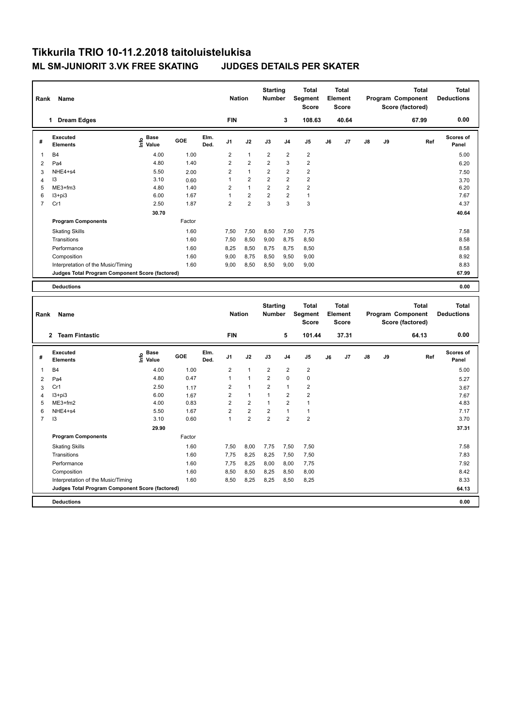## **Tikkurila TRIO 10-11.2.2018 taitoluistelukisa ML SM-JUNIORIT 3.VK FREE SKATING JUDGES DETAILS PER SKATER**

| Name<br>Rank            |                                                 |                                  |        | <b>Nation</b> |                | <b>Starting</b><br><b>Number</b> |                | <b>Total</b><br>Segment<br><b>Score</b> | Total<br>Element<br><b>Score</b> |    |       |    | <b>Total</b><br>Program Component<br>Score (factored) | Total<br><b>Deductions</b> |                           |
|-------------------------|-------------------------------------------------|----------------------------------|--------|---------------|----------------|----------------------------------|----------------|-----------------------------------------|----------------------------------|----|-------|----|-------------------------------------------------------|----------------------------|---------------------------|
|                         | <b>Dream Edges</b><br>1                         |                                  |        |               | <b>FIN</b>     |                                  |                | 3                                       | 108.63                           |    | 40.64 |    |                                                       | 67.99                      | 0.00                      |
| #                       | Executed<br><b>Elements</b>                     | <b>Base</b><br>o Base<br>⊆ Value | GOE    | Elm.<br>Ded.  | J <sub>1</sub> | J2                               | J3             | J <sub>4</sub>                          | J <sub>5</sub>                   | J6 | J7    | J8 | J9                                                    | Ref                        | <b>Scores of</b><br>Panel |
| $\overline{\mathbf{1}}$ | <b>B4</b>                                       | 4.00                             | 1.00   |               | $\overline{2}$ | $\mathbf{1}$                     | $\overline{2}$ | $\overline{2}$                          | $\overline{\mathbf{c}}$          |    |       |    |                                                       |                            | 5.00                      |
| $\overline{2}$          | Pa <sub>4</sub>                                 | 4.80                             | 1.40   |               | $\overline{2}$ | $\overline{2}$                   | $\overline{2}$ | 3                                       | $\overline{2}$                   |    |       |    |                                                       |                            | 6.20                      |
| 3                       | NHE4+s4                                         | 5.50                             | 2.00   |               | 2              | $\mathbf{1}$                     | $\overline{2}$ | $\overline{2}$                          | $\overline{\mathbf{c}}$          |    |       |    |                                                       |                            | 7.50                      |
| 4                       | 13                                              | 3.10                             | 0.60   |               | 1              | $\overline{2}$                   | $\overline{2}$ | $\overline{2}$                          | $\overline{2}$                   |    |       |    |                                                       |                            | 3.70                      |
| 5                       | ME3+fm3                                         | 4.80                             | 1.40   |               | $\overline{2}$ | $\overline{1}$                   | $\overline{2}$ | $\overline{2}$                          | $\overline{2}$                   |    |       |    |                                                       |                            | 6.20                      |
| 6                       | $13 + pi3$                                      | 6.00                             | 1.67   |               | $\overline{1}$ | $\overline{2}$                   | $\overline{2}$ | 2                                       | $\mathbf{1}$                     |    |       |    |                                                       |                            | 7.67                      |
| $\overline{7}$          | Cr1                                             | 2.50                             | 1.87   |               | 2              | $\overline{c}$                   | 3              | 3                                       | 3                                |    |       |    |                                                       |                            | 4.37                      |
|                         |                                                 | 30.70                            |        |               |                |                                  |                |                                         |                                  |    |       |    |                                                       |                            | 40.64                     |
|                         | <b>Program Components</b>                       |                                  | Factor |               |                |                                  |                |                                         |                                  |    |       |    |                                                       |                            |                           |
|                         | <b>Skating Skills</b>                           |                                  | 1.60   |               | 7,50           | 7,50                             | 8,50           | 7,50                                    | 7,75                             |    |       |    |                                                       |                            | 7.58                      |
|                         | Transitions                                     |                                  | 1.60   |               | 7,50           | 8,50                             | 9,00           | 8.75                                    | 8,50                             |    |       |    |                                                       |                            | 8.58                      |
|                         | Performance                                     |                                  | 1.60   |               | 8,25           | 8,50                             | 8,75           | 8,75                                    | 8,50                             |    |       |    |                                                       |                            | 8.58                      |
|                         | Composition                                     |                                  | 1.60   |               | 9.00           | 8,75                             | 8,50           | 9,50                                    | 9,00                             |    |       |    |                                                       |                            | 8.92                      |
|                         | Interpretation of the Music/Timing              |                                  | 1.60   |               | 9,00           | 8,50                             | 8,50           | 9,00                                    | 9,00                             |    |       |    |                                                       |                            | 8.83                      |
|                         | Judges Total Program Component Score (factored) |                                  |        |               |                |                                  |                |                                         |                                  |    |       |    |                                                       |                            | 67.99                     |
|                         | <b>Deductions</b>                               |                                  |        |               |                |                                  |                |                                         |                                  |    |       |    |                                                       |                            | 0.00                      |

| Name<br>Rank   |                                                 |                                  |        |              |                | <b>Nation</b>  |                | <b>Starting</b><br><b>Number</b> | <b>Total</b><br>Segment<br><b>Score</b> | <b>Total</b><br>Element<br><b>Score</b> |       |               |    | Total<br>Program Component<br>Score (factored) | <b>Total</b><br><b>Deductions</b> |
|----------------|-------------------------------------------------|----------------------------------|--------|--------------|----------------|----------------|----------------|----------------------------------|-----------------------------------------|-----------------------------------------|-------|---------------|----|------------------------------------------------|-----------------------------------|
|                | <b>Team Fintastic</b><br>$\overline{2}$         |                                  |        |              | <b>FIN</b>     |                |                | 5                                | 101.44                                  |                                         | 37.31 |               |    | 64.13                                          | 0.00                              |
| #              | Executed<br><b>Elements</b>                     | <b>Base</b><br>e Base<br>⊆ Value | GOE    | Elm.<br>Ded. | J <sub>1</sub> | J2             | J3             | J <sub>4</sub>                   | J <sub>5</sub>                          | J6                                      | J7    | $\mathsf{J}8$ | J9 | Ref                                            | <b>Scores of</b><br>Panel         |
| 1              | <b>B4</b>                                       | 4.00                             | 1.00   |              | $\overline{2}$ | $\overline{1}$ | $\overline{2}$ | 2                                | $\overline{2}$                          |                                         |       |               |    |                                                | 5.00                              |
| $\overline{2}$ | Pa <sub>4</sub>                                 | 4.80                             | 0.47   |              | 1              | $\overline{1}$ | $\overline{2}$ | $\mathbf 0$                      | $\pmb{0}$                               |                                         |       |               |    |                                                | 5.27                              |
| 3              | Cr1                                             | 2.50                             | 1.17   |              | 2              | $\mathbf{1}$   | $\overline{2}$ | $\overline{1}$                   | $\overline{2}$                          |                                         |       |               |    |                                                | 3.67                              |
| $\overline{4}$ | $13 + pi3$                                      | 6.00                             | 1.67   |              | $\overline{2}$ | $\overline{1}$ | $\overline{1}$ | $\overline{2}$                   | $\overline{2}$                          |                                         |       |               |    |                                                | 7.67                              |
| 5              | $ME3+fm2$                                       | 4.00                             | 0.83   |              | $\overline{2}$ | $\overline{2}$ | $\overline{1}$ | $\overline{2}$                   | $\mathbf{1}$                            |                                         |       |               |    |                                                | 4.83                              |
| 6              | NHE4+s4                                         | 5.50                             | 1.67   |              | $\overline{2}$ | $\overline{2}$ | $\overline{2}$ | $\overline{1}$                   | $\mathbf{1}$                            |                                         |       |               |    |                                                | 7.17                              |
| $\overline{7}$ | 13                                              | 3.10                             | 0.60   |              | 1              | $\overline{2}$ | $\overline{2}$ | $\overline{2}$                   | $\overline{2}$                          |                                         |       |               |    |                                                | 3.70                              |
|                |                                                 | 29.90                            |        |              |                |                |                |                                  |                                         |                                         |       |               |    |                                                | 37.31                             |
|                | <b>Program Components</b>                       |                                  | Factor |              |                |                |                |                                  |                                         |                                         |       |               |    |                                                |                                   |
|                | <b>Skating Skills</b>                           |                                  | 1.60   |              | 7,50           | 8,00           | 7,75           | 7,50                             | 7,50                                    |                                         |       |               |    |                                                | 7.58                              |
|                | Transitions                                     |                                  | 1.60   |              | 7.75           | 8,25           | 8.25           | 7,50                             | 7,50                                    |                                         |       |               |    |                                                | 7.83                              |
|                | Performance                                     |                                  | 1.60   |              | 7,75           | 8,25           | 8,00           | 8,00                             | 7,75                                    |                                         |       |               |    |                                                | 7.92                              |
|                | Composition                                     |                                  | 1.60   |              | 8,50           | 8,50           | 8,25           | 8,50                             | 8,00                                    |                                         |       |               |    |                                                | 8.42                              |
|                | Interpretation of the Music/Timing              |                                  | 1.60   |              | 8,50           | 8,25           | 8,25           | 8,50                             | 8,25                                    |                                         |       |               |    |                                                | 8.33                              |
|                | Judges Total Program Component Score (factored) |                                  |        |              |                |                |                |                                  |                                         |                                         |       |               |    |                                                | 64.13                             |
|                | <b>Deductions</b>                               |                                  |        |              |                |                |                |                                  |                                         |                                         |       |               |    |                                                | 0.00                              |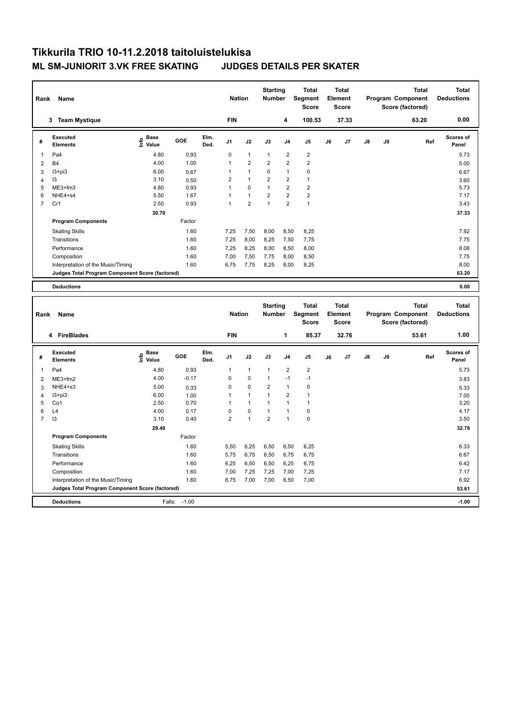## **Tikkurila TRIO 10-11.2.2018 taitoluistelukisa ML SM-JUNIORIT 3.VK FREE SKATING JUDGES DETAILS PER SKATER**

| Rank                    | Name                                            |                                  |        |              | <b>Nation</b>  |                | <b>Starting</b><br><b>Number</b> |                | <b>Total</b><br>Segment<br><b>Score</b> |    | <b>Total</b><br>Element<br><b>Score</b> |    |    | <b>Total</b><br>Program Component<br>Score (factored) | <b>Total</b><br><b>Deductions</b> |
|-------------------------|-------------------------------------------------|----------------------------------|--------|--------------|----------------|----------------|----------------------------------|----------------|-----------------------------------------|----|-----------------------------------------|----|----|-------------------------------------------------------|-----------------------------------|
|                         | <b>Team Mystique</b><br>3                       |                                  |        |              | <b>FIN</b>     |                |                                  | 4              | 100.53                                  |    | 37.33                                   |    |    | 63.20                                                 | 0.00                              |
| #                       | Executed<br><b>Elements</b>                     | <b>Base</b><br>e Base<br>⊆ Value | GOE    | Elm.<br>Ded. | J <sub>1</sub> | J2             | J3                               | J <sub>4</sub> | J <sub>5</sub>                          | J6 | J7                                      | J8 | J9 | Ref                                                   | Scores of<br>Panel                |
| $\overline{\mathbf{1}}$ | Pa4                                             | 4.80                             | 0.93   |              | 0              | $\mathbf{1}$   | $\overline{1}$                   | $\overline{2}$ | $\overline{\mathbf{c}}$                 |    |                                         |    |    |                                                       | 5.73                              |
| $\overline{2}$          | <b>B4</b>                                       | 4.00                             | 1.00   |              | $\mathbf 1$    | $\overline{2}$ | $\overline{2}$                   | $\overline{2}$ | $\overline{2}$                          |    |                                         |    |    |                                                       | 5.00                              |
| 3                       | $13 + pi3$                                      | 6.00                             | 0.67   |              | 1              | $\overline{1}$ | 0                                | 1              | 0                                       |    |                                         |    |    |                                                       | 6.67                              |
| 4                       | 13                                              | 3.10                             | 0.50   |              | $\overline{2}$ | $\overline{1}$ | $\overline{2}$                   | $\overline{2}$ | $\mathbf{1}$                            |    |                                         |    |    |                                                       | 3.60                              |
| 5                       | ME3+fm3                                         | 4.80                             | 0.93   |              | $\mathbf 1$    | 0              | 1                                | 2              | $\overline{2}$                          |    |                                         |    |    |                                                       | 5.73                              |
| 6                       | NHE4+s4                                         | 5.50                             | 1.67   |              | 1              | $\overline{1}$ | $\overline{2}$                   | 2              | $\overline{2}$                          |    |                                         |    |    |                                                       | 7.17                              |
| $\overline{7}$          | Cr1                                             | 2.50                             | 0.93   |              | 1              | $\overline{2}$ | $\overline{1}$                   | $\overline{2}$ | $\overline{1}$                          |    |                                         |    |    |                                                       | 3.43                              |
|                         |                                                 | 30.70                            |        |              |                |                |                                  |                |                                         |    |                                         |    |    |                                                       | 37.33                             |
|                         | <b>Program Components</b>                       |                                  | Factor |              |                |                |                                  |                |                                         |    |                                         |    |    |                                                       |                                   |
|                         | <b>Skating Skills</b>                           |                                  | 1.60   |              | 7,25           | 7,50           | 8,00                             | 8,50           | 8,25                                    |    |                                         |    |    |                                                       | 7.92                              |
|                         | Transitions                                     |                                  | 1.60   |              | 7,25           | 8,00           | 8,25                             | 7,50           | 7,75                                    |    |                                         |    |    |                                                       | 7.75                              |
|                         | Performance                                     |                                  | 1.60   |              | 7,25           | 8,25           | 8,00                             | 8,50           | 8,00                                    |    |                                         |    |    |                                                       | 8.08                              |
|                         | Composition                                     |                                  | 1.60   |              | 7,00           | 7,50           | 7,75                             | 8,00           | 8,50                                    |    |                                         |    |    |                                                       | 7.75                              |
|                         | Interpretation of the Music/Timing              |                                  | 1.60   |              | 6,75           | 7,75           | 8,25                             | 8,00           | 8,25                                    |    |                                         |    |    |                                                       | 8.00                              |
|                         | Judges Total Program Component Score (factored) |                                  |        |              |                |                |                                  |                |                                         |    |                                         |    |    |                                                       | 63.20                             |
|                         | <b>Deductions</b>                               |                                  |        |              |                |                |                                  |                |                                         |    |                                         |    |    |                                                       | 0.00                              |

| <b>Name</b><br>Rank |                                                 |                                    |         |              |                | <b>Nation</b> |                | <b>Starting</b><br><b>Number</b> | Total<br>Segment<br><b>Score</b> | <b>Total</b><br>Element<br><b>Score</b> |                |               |    | <b>Total</b><br>Program Component<br>Score (factored) | Total<br><b>Deductions</b> |
|---------------------|-------------------------------------------------|------------------------------------|---------|--------------|----------------|---------------|----------------|----------------------------------|----------------------------------|-----------------------------------------|----------------|---------------|----|-------------------------------------------------------|----------------------------|
|                     | 4 FireBlades                                    |                                    |         |              | <b>FIN</b>     |               |                | 1                                | 85.37                            |                                         | 32.76          |               |    | 53.61                                                 | 1.00                       |
| #                   | Executed<br><b>Elements</b>                     | <b>Base</b><br>$\frac{e}{E}$ Value | GOE     | Elm.<br>Ded. | J <sub>1</sub> | J2            | J3             | J <sub>4</sub>                   | J <sub>5</sub>                   | J6                                      | J <sub>7</sub> | $\mathsf{J}8$ | J9 | Ref                                                   | Scores of<br>Panel         |
| 1                   | Pa4                                             | 4.80                               | 0.93    |              | 1              | $\mathbf{1}$  | $\overline{1}$ | $\overline{2}$                   | $\overline{\mathbf{c}}$          |                                         |                |               |    |                                                       | 5.73                       |
| 2                   | ME3+fm2                                         | 4.00                               | $-0.17$ |              | $\Omega$       | $\mathbf 0$   | $\mathbf{1}$   | $-1$                             | $-1$                             |                                         |                |               |    |                                                       | 3.83                       |
| 3                   | NHE4+s3                                         | 5.00                               | 0.33    |              | 0              | $\mathbf 0$   | 2              | $\mathbf{1}$                     | 0                                |                                         |                |               |    |                                                       | 5.33                       |
| 4                   | I3+pi3                                          | 6.00                               | 1.00    |              | 1              | $\mathbf{1}$  |                | 2                                | $\mathbf{1}$                     |                                         |                |               |    |                                                       | 7.00                       |
| 5                   | Co1                                             | 2.50                               | 0.70    |              |                | $\mathbf{1}$  |                | $\mathbf{1}$                     | 1                                |                                         |                |               |    |                                                       | 3.20                       |
| 6                   | L4                                              | 4.00                               | 0.17    |              | 0              | $\mathbf 0$   |                | 1                                | 0                                |                                         |                |               |    |                                                       | 4.17                       |
| $\overline{7}$      | 13                                              | 3.10                               | 0.40    |              | $\overline{2}$ | 1             | $\overline{2}$ | $\overline{1}$                   | 0                                |                                         |                |               |    |                                                       | 3.50                       |
|                     |                                                 | 29.40                              |         |              |                |               |                |                                  |                                  |                                         |                |               |    |                                                       | 32.76                      |
|                     | <b>Program Components</b>                       |                                    | Factor  |              |                |               |                |                                  |                                  |                                         |                |               |    |                                                       |                            |
|                     | <b>Skating Skills</b>                           |                                    | 1.60    |              | 5.50           | 6,25          | 6,50           | 6,50                             | 6,25                             |                                         |                |               |    |                                                       | 6.33                       |
|                     | Transitions                                     |                                    | 1.60    |              | 5.75           | 6,75          | 6,50           | 6,75                             | 6.75                             |                                         |                |               |    |                                                       | 6.67                       |
|                     | Performance                                     |                                    | 1.60    |              | 6,25           | 6,50          | 6,50           | 6,25                             | 6,75                             |                                         |                |               |    |                                                       | 6.42                       |
|                     | Composition                                     |                                    | 1.60    |              | 7,00           | 7,25          | 7,25           | 7,00                             | 7,25                             |                                         |                |               |    |                                                       | 7.17                       |
|                     | Interpretation of the Music/Timing              |                                    | 1.60    |              | 6,75           | 7,00          | 7,00           | 6,50                             | 7,00                             |                                         |                |               |    |                                                       | 6.92                       |
|                     | Judges Total Program Component Score (factored) |                                    |         |              |                |               |                |                                  |                                  |                                         |                |               |    |                                                       | 53.61                      |
|                     | <b>Deductions</b>                               | Falls:                             | $-1.00$ |              |                |               |                |                                  |                                  |                                         |                |               |    |                                                       | $-1.00$                    |